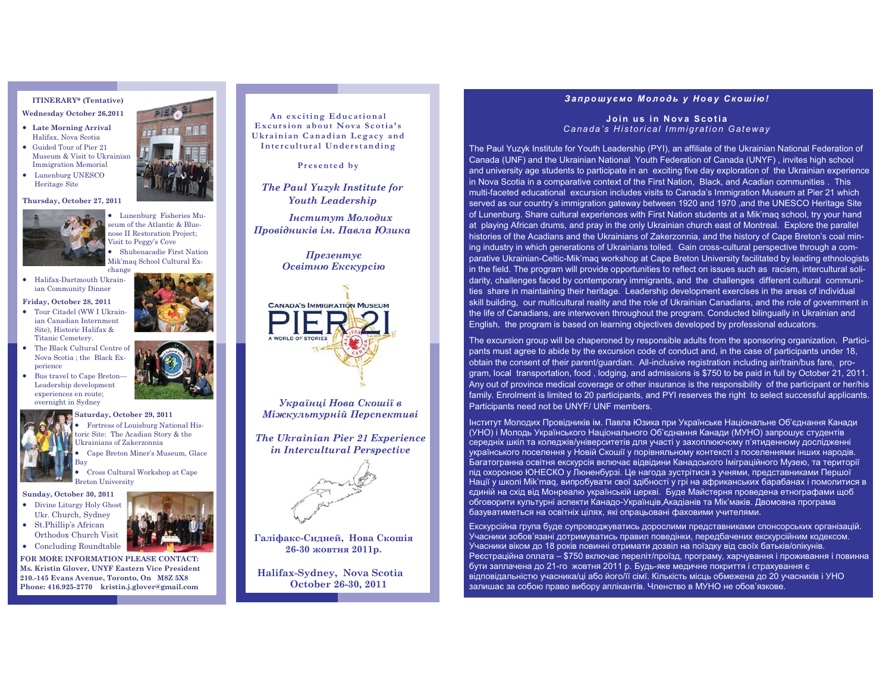# **ITINERARY\* (Tentative)**

- **Wednesday October 26,2011**  - **Late Morning Arrival**
- Halifax, Nоva Scotia • Guided Tour of Pier 21 Museum & Visit to Ukrainian Immigration Memorial
- Lunenburg UNESCO Heritage Site

### **Thursday, October 27, 2011**



seum of the Atlantic & Blue- Lunenburg Fisheries Munose II Restoration Project; Visit to Peggy's Cove -

change - Halifax-Dartmouth Ukrainian Community Dinner

**Friday, October 28, 2011** 

- Tour Citadel (WW I Ukrainian Canadian Internment Site), Historic Halifax & Titanic Cemetery.
- The Black Cultural Centre of Nova Scotia ; the Black Experience
- Bus travel to Cape Breton— Leadership development experiences en route; overnight in Sydney



**Saturday, October 29, 2011**  • Fortress of Louisburg National Historic Site: The Acadian Story & the Ukrainians of Zakerzonnia

- Cape Breton Miner's Museum, Glace Bay

 Cross Cultural Workshop at Cape Breton University

## **Sunday, October 30, 2011**

-

- Divine Liturgy Holy Ghost Ukr. Church, Sydney • St.Phillip's African
- Orthodox Church Visit • Concluding Roundtable

**FOR MORE INFORMATION PLEASE CONTACT: Ms. Kristin Glover, UNYF Eastern Vice President 210.-145 Evans Avenue, Toronto, On M8Z 5X8 Phone: 416.925-2770 kristin.j.glover@gmail.com** 



**An exciting Educational Excursion about Nova Scotia's Ukrainian Canadian Legacy and Intercultural Understanding** 

**Presented by**

*The Paul Yuzyk Institute for Youth Leadership* 

 *Інститут Молодих Провідників ім. Павла Юзика* 

> *Презентує Освітню Екскурсію*



*Українці Нова Скошії в Міжкультурній Перспективі* 

*The Ukrainian Pier 21 Experience in Intercultural Perspective*



**Галіфакс-Сидней, Нова Скошія 26-30 жовтня 2011р.** 

**Halifax-Sydney, Nova Scotia October 26-30, 2011** 

## *Запрошуємо Молодь у Нову Скошію!*

**Join us in Nova Scotia** *Canada's Historical Immigration Gateway* 

The Paul Yuzyk Institute for Youth Leadership (PYI), an affiliate of the Ukrainian National Federation of Canada (UNF) and the Ukrainian National Youth Federation of Canada (UNYF) , invites high school and university age students to participate in an exciting five day exploration of the Ukrainian experience in Nova Scotia in a comparative context of the First Nation, Black, and Acadian communities . This multi-faceted educational excursion includes visits to Canada's Immigration Museum at Pier 21 which served as our country's immigration gateway between 1920 and 1970 ,and the UNESCO Heritage Site of Lunenburg. Share cultural experiences with First Nation students at a Mik'maq school, try your hand at playing African drums, and pray in the only Ukrainian church east of Montreal. Explore the parallel histories of the Acadians and the Ukrainians of Zakerzonnia, and the history of Cape Breton's coal mining industry in which generations of Ukrainians toiled. Gain cross-cultural perspective through a comparative Ukrainian-Celtic-Mik'maq workshop at Cape Breton University facilitated by leading ethnologists in the field. The program will provide opportunities to reflect on issues such as racism, intercultural solidarity, challenges faced by contemporary immigrants, and the challenges different cultural communities share in maintaining their heritage. Leadership development exercises in the areas of individual skill building, our multicultural reality and the role of Ukrainian Canadians, and the role of government in the life of Canadians, are interwoven throughout the program. Conducted bilingually in Ukrainian and English, the program is based on learning objectives developed by professional educators.

The excursion group will be chaperoned by responsible adults from the sponsoring organization. Participants must agree to abide by the excursion code of conduct and, in the case of participants under 18, obtain the consent of their parent/guardian. All-inclusive registration including air/train/bus fare, program, local transportation, food , lodging, and admissions is \$750 to be paid in full by October 21, 2011. Any out of province medical coverage or other insurance is the responsibility of the participant or her/his family. Enrolment is limited to 20 participants, and PYI reserves the right to select successful applicants. Participants need not be UNYF/ UNF members.

Інститут Молодих Провідників ім. Павла Юзика при Українське Національне Об'єднання Канади (УНО) і Молодь Українського Національного Об'єднання Канади (МУНО) запрошує студентів середніх шкіл та коледжів/університетів для участі у захоплюючому п'ятиденному дослідженні українського поселення у Новій Скошії у порівняльному контексті з поселеннями інших народів. Багатогранна освітня екскурсія включає відвідини Канадського Іміграційного Музею, та території під охороною ЮНЕСКО у Люненбурзі. Це нагода зустрітися з учнями, представниками Першої Нації у школі Mik'maq, випробувати свої здібності у грі на африканських барабанах і помолитися в єдиній на схід від Монреалю українській церкві. Буде Майстерня проведена етнографами щоб обговорити культурні аспекти Канадо-Українців,Акадіанів та Мік'маків. Двомовна програма базуватиметься на освітніх цілях, які опрацьовані фаховими учителями.

Екскурсійна група буде супроводжуватись дорослими представниками спонсорських організацій. Учасники зобов'язані дотримуватись правил поведінки, передбачених екскурсійним кодексом. Учасники віком до 18 років повинні отримати дозвіл на поїздку від своїх батьків/опікунів. Реєстраційна оплата – \$750 включає переліт/проїзд, програму, харчування і проживання і повинна бути заплачена до 21-го жовтня 2011 р. Будь-яке медичне покриття і страхування є відповідальністю учасника/ці або його/її сімї. Кількість місць обмежена до 20 учасників і УНО залишає за собою право вибору аплікантів. Членство в МУНО не обов'язкове.